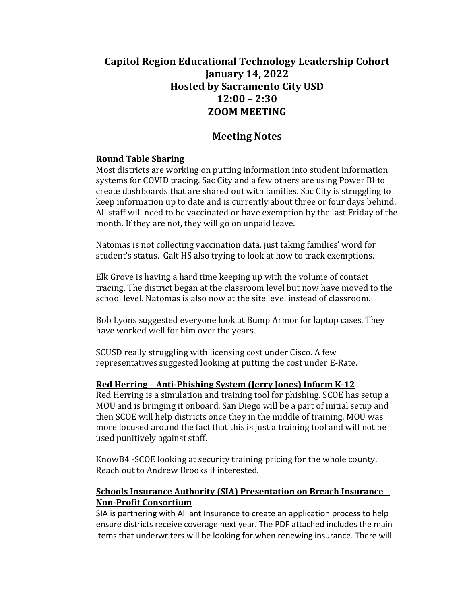# **Capitol Region Educational Technology Leadership Cohort January 14, 2022 Hosted by Sacramento City USD 12:00 – 2:30 ZOOM MEETING**

# **Meeting Notes**

## **Round Table Sharing**

Most districts are working on putting information into student information systems for COVID tracing. Sac City and a few others are using Power BI to create dashboards that are shared out with families. Sac City is struggling to keep information up to date and is currently about three or four days behind. All staff will need to be vaccinated or have exemption by the last Friday of the month. If they are not, they will go on unpaid leave.

Natomas is not collecting vaccination data, just taking families' word for student's status. Galt HS also trying to look at how to track exemptions.

Elk Grove is having a hard time keeping up with the volume of contact tracing. The district began at the classroom level but now have moved to the school level. Natomas is also now at the site level instead of classroom.

Bob Lyons suggested everyone look at Bump Armor for laptop cases. They have worked well for him over the years.

SCUSD really struggling with licensing cost under Cisco. A few representatives suggested looking at putting the cost under E-Rate.

### **Red Herring - Anti-Phishing System (Jerry Jones) Inform K-12**

Red Herring is a simulation and training tool for phishing. SCOE has setup a MOU and is bringing it onboard. San Diego will be a part of initial setup and then SCOE will help districts once they in the middle of training. MOU was more focused around the fact that this is just a training tool and will not be used punitively against staff.

KnowB4 -SCOE looking at security training pricing for the whole county. Reach out to Andrew Brooks if interested.

## **<u>Schools Insurance Authority (SIA) Presentation on Breach Insurance –</u> Non-Profit Consortium**

SIA is partnering with Alliant Insurance to create an application process to help ensure districts receive coverage next year. The PDF attached includes the main items that underwriters will be looking for when renewing insurance. There will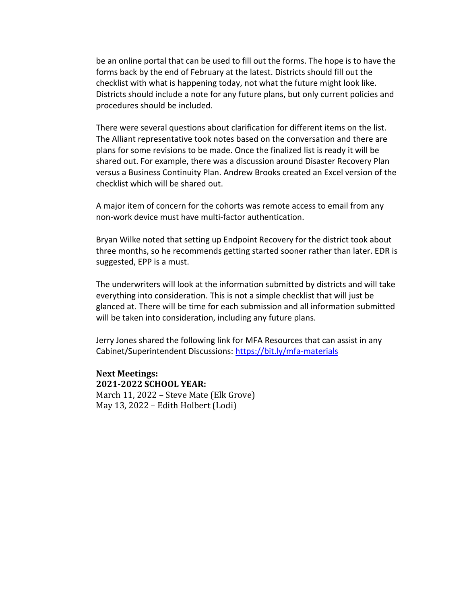be an online portal that can be used to fill out the forms. The hope is to have the forms back by the end of February at the latest. Districts should fill out the checklist with what is happening today, not what the future might look like. Districts should include a note for any future plans, but only current policies and procedures should be included.

There were several questions about clarification for different items on the list. The Alliant representative took notes based on the conversation and there are plans for some revisions to be made. Once the finalized list is ready it will be shared out. For example, there was a discussion around Disaster Recovery Plan versus a Business Continuity Plan. Andrew Brooks created an Excel version of the checklist which will be shared out.

A major item of concern for the cohorts was remote access to email from any non-work device must have multi-factor authentication.

Bryan Wilke noted that setting up Endpoint Recovery for the district took about three months, so he recommends getting started sooner rather than later. EDR is suggested, EPP is a must.

The underwriters will look at the information submitted by districts and will take everything into consideration. This is not a simple checklist that will just be glanced at. There will be time for each submission and all information submitted will be taken into consideration, including any future plans.

Jerry Jones shared the following link for MFA Resources that can assist in any Cabinet/Superintendent Discussions: https://bit.ly/mfa-materials

**Next Meetings: 2021-2022 SCHOOL YEAR:** March 11, 2022 - Steve Mate (Elk Grove) May 13, 2022 – Edith Holbert  $($ Lodi $)$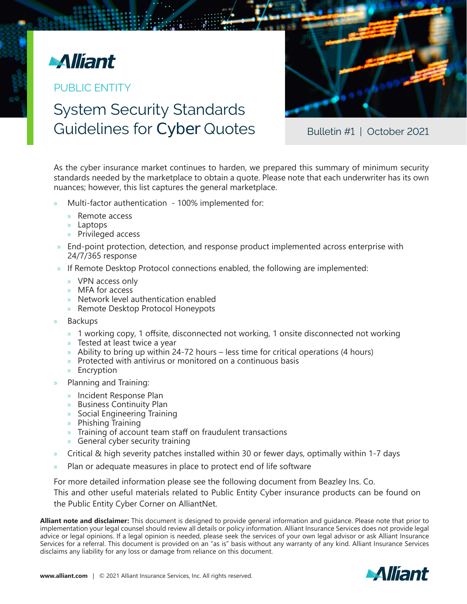

PUBLIC ENTITY

# System Security Standards Guidelines for Cyber Quotes



Bulletin #1 | October 2021

As the cyber insurance market continues to harden, we prepared this summary of minimum security standards needed by the marketplace to obtain a quote. Please note that each underwriter has its own nuances; however, this list captures the general marketplace.

- » Multi-factor authentication 100% implemented for:
	- » Remote access
	- » Laptops
	- » Privileged access
- » End-point protection, detection, and response product implemented across enterprise with 24/7/365 response
- » If Remote Desktop Protocol connections enabled, the following are implemented:
	- » VPN access only
	- » MFA for access
	- » Network level authentication enabled
	- » Remote Desktop Protocol Honeypots
- » Backups
	- » 1 working copy, 1 offsite, disconnected not working, 1 onsite disconnected not working
	- » Tested at least twice a year
	- » Ability to bring up within 24-72 hours less time for critical operations (4 hours)
	- » Protected with antivirus or monitored on a continuous basis
	- » Encryption
- » Planning and Training:
	- » Incident Response Plan
	- » Business Continuity Plan
	- » Social Engineering Training
	- » Phishing Training
	- » Training of account team staff on fraudulent transactions
	- » General cyber security training
- » Critical & high severity patches installed within 30 or fewer days, optimally within 1-7 days
- Plan or adequate measures in place to protect end of life software

For more detailed information please see the following document from Beazley Ins. Co.

This and other useful materials related to Public Entity Cyber insurance products can be found on the Public Entity Cyber Corner on AlliantNet.

**Alliant note and disclaimer:** This document is designed to provide general information and guidance. Please note that prior to implementation your legal counsel should review all details or policy information. Alliant Insurance Services does not provide legal advice or legal opinions. If a legal opinion is needed, please seek the services of your own legal advisor or ask Alliant Insurance Services for a referral. This document is provided on an "as is" basis without any warranty of any kind. Alliant Insurance Services disclaims any liability for any loss or damage from reliance on this document.